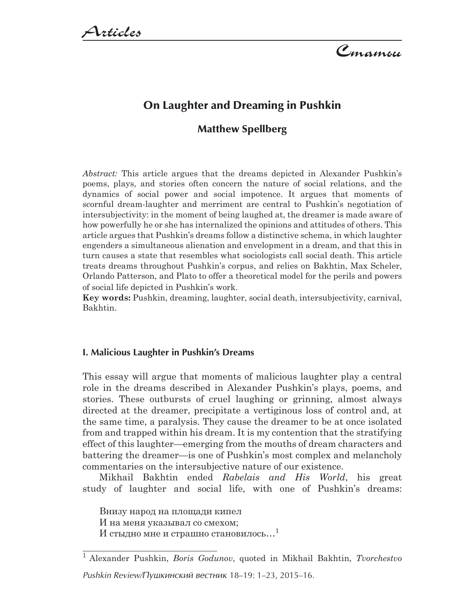Статьи

# On Laughter and Dreaming in Pushkin

## Matthew Spellberg

*Abstract:* This article argues that the dreams depicted in Alexander Pushkin's poems, plays, and stories often concern the nature of social relations, and the dynamics of social power and social impotence. It argues that moments of scornful dream-laughter and merriment are central to Pushkin's negotiation of intersubjectivity: in the moment of being laughed at, the dreamer is made aware of how powerfully he or she has internalized the opinions and attitudes of others. This article argues that Pushkin's dreams follow a distinctive schema, in which laughter engenders a simultaneous alienation and envelopment in a dream, and that this in turn causes a state that resembles what sociologists call social death. This article treats dreams throughout Pushkin's corpus, and relies on Bakhtin, Max Scheler, Orlando Patterson, and Plato to offer a theoretical model for the perils and powers of social life depicted in Pushkin's work.

**Key words:** Pushkin, dreaming, laughter, social death, intersubjectivity, carnival, Bakhtin.

### **I. Malicious Laughter in Pushkin's Dreams**

This essay will argue that moments of malicious laughter play a central role in the dreams described in Alexander Pushkin's plays, poems, and stories. These outbursts of cruel laughing or grinning, almost always directed at the dreamer, precipitate a vertiginous loss of control and, at the same time, a paralysis. They cause the dreamer to be at once isolated from and trapped within his dream. It is my contention that the stratifying effect of this laughter—emerging from the mouths of dream characters and battering the dreamer—is one of Pushkin's most complex and melancholy commentaries on the intersubjective nature of our existence.

Mikhail Bakhtin ended *Rabelais and His World*, his great study of laughter and social life, with one of Pushkin's dreams:

Внизу народ на площади кипел И на меня указывал со смехом; И стыдно мне и страшно становилось…1

Pushkin Review/*Пушкинский вестник* 18–19: 1–23, 2015–16. <sup>1</sup> Alexander Pushkin, *Boris Godunov*, quoted in Mikhail Bakhtin, *Tvorchestvo*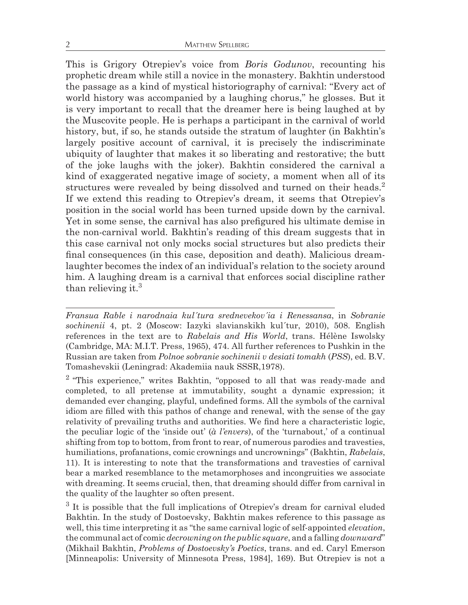This is Grigory Otrepiev's voice from *Boris Godunov*, recounting his prophetic dream while still a novice in the monastery. Bakhtin understood the passage as a kind of mystical historiography of carnival: "Every act of world history was accompanied by a laughing chorus," he glosses. But it is very important to recall that the dreamer here is being laughed at by the Muscovite people. He is perhaps a participant in the carnival of world history, but, if so, he stands outside the stratum of laughter (in Bakhtin's largely positive account of carnival, it is precisely the indiscriminate ubiquity of laughter that makes it so liberating and restorative; the butt of the joke laughs with the joker). Bakhtin considered the carnival a kind of exaggerated negative image of society, a moment when all of its structures were revealed by being dissolved and turned on their heads.<sup>2</sup> If we extend this reading to Otrepiev's dream, it seems that Otrepiev's position in the social world has been turned upside down by the carnival. Yet in some sense, the carnival has also prefgured his ultimate demise in the non-carnival world. Bakhtin's reading of this dream suggests that in this case carnival not only mocks social structures but also predicts their fnal consequences (in this case, deposition and death). Malicious dreamlaughter becomes the index of an individual's relation to the society around him. A laughing dream is a carnival that enforces social discipline rather than relieving it.<sup>3</sup>

<sup>2</sup> "This experience," writes Bakhtin, "opposed to all that was ready-made and completed, to all pretense at immutability, sought a dynamic expression; it demanded ever changing, playful, undefned forms. All the symbols of the carnival idiom are flled with this pathos of change and renewal, with the sense of the gay relativity of prevailing truths and authorities. We fnd here a characteristic logic, the peculiar logic of the 'inside out' (*à l'envers*), of the 'turnabout,' of a continual shifting from top to bottom, from front to rear, of numerous parodies and travesties, humiliations, profanations, comic crownings and uncrownings" (Bakhtin, *Rabelais*, 11). It is interesting to note that the transformations and travesties of carnival bear a marked resemblance to the metamorphoses and incongruities we associate with dreaming. It seems crucial, then, that dreaming should differ from carnival in the quality of the laughter so often present.

<sup>3</sup> It is possible that the full implications of Otrepiev's dream for carnival eluded Bakhtin. In the study of Dostoevsky, Bakhtin makes reference to this passage as well, this time interpreting it as "the same carnival logic of self-appointed *elevation*, the communal act of comic *decrowning on the public square*, and a falling *downward*" (Mikhail Bakhtin, *Problems of Dostoevsky's Poetics*, trans. and ed. Caryl Emerson [Minneapolis: University of Minnesota Press, 1984], 169). But Otrepiev is not a

*Fransua Rable i narodnaia kul´tura srednevekov´ia i Renessansa*, in *Sobranie sochinenii* 4, pt. 2 (Moscow: Iazyki slavianskikh kul´tur, 2010), 508. English references in the text are to *Rabelais and His World*, trans. Hélène Iswolsky (Cambridge, MA: M.I.T. Press, 1965), 474. All further references to Pushkin in the Russian are taken from *Polnoe sobranie sochinenii v desiati tomakh* (*PSS*), ed. B.V. Tomashevskii (Leningrad: Akademiia nauk SSSR,1978).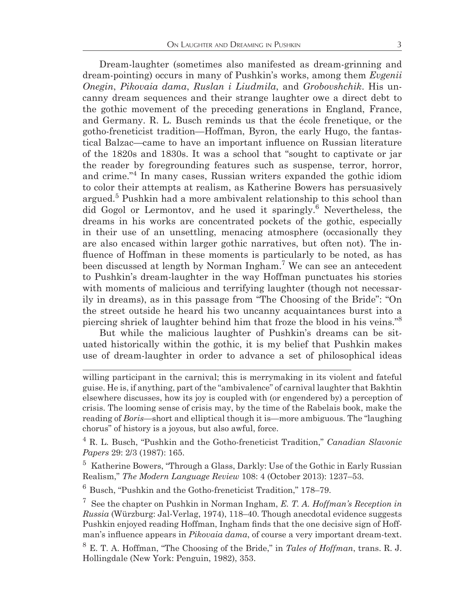Dream-laughter (sometimes also manifested as dream-grinning and dream-pointing) occurs in many of Pushkin's works, among them *Evgenii Onegin*, *Pikovaia dama*, *Ruslan i Liudmila*, and *Grobovshchik*. His uncanny dream sequences and their strange laughter owe a direct debt to the gothic movement of the preceding generations in England, France, and Germany. R. L. Busch reminds us that the école frenetique, or the gotho-freneticist tradition—Hoffman, Byron, the early Hugo, the fantastical Balzac—came to have an important infuence on Russian literature of the 1820s and 1830s. It was a school that "sought to captivate or jar the reader by foregrounding features such as suspense, terror, horror, and crime."<sup>4</sup> In many cases, Russian writers expanded the gothic idiom to color their attempts at realism, as Katherine Bowers has persuasively argued.<sup>5</sup> Pushkin had a more ambivalent relationship to this school than did Gogol or Lermontov, and he used it sparingly.<sup>6</sup> Nevertheless, the dreams in his works are concentrated pockets of the gothic, especially in their use of an unsettling, menacing atmosphere (occasionally they are also encased within larger gothic narratives, but often not). The infuence of Hoffman in these moments is particularly to be noted, as has been discussed at length by Norman Ingham.<sup>7</sup> We can see an antecedent to Pushkin's dream-laughter in the way Hoffman punctuates his stories with moments of malicious and terrifying laughter (though not necessarily in dreams), as in this passage from "The Choosing of the Bride": "On the street outside he heard his two uncanny acquaintances burst into a piercing shriek of laughter behind him that froze the blood in his veins."8

But while the malicious laughter of Pushkin's dreams can be situated historically within the gothic, it is my belief that Pushkin makes use of dream-laughter in order to advance a set of philosophical ideas

<sup>5</sup> Katherine Bowers, "Through a Glass, Darkly: Use of the Gothic in Early Russian Realism," *The Modern Language Review* 108: 4 (October 2013): 1237–53.

<sup>6</sup> Busch, "Pushkin and the Gotho-freneticist Tradition," 178–79.

<sup>8</sup> E. T. A. Hoffman, "The Choosing of the Bride," in *Tales of Hoffman*, trans. R. J. Hollingdale (New York: Penguin, 1982), 353.

willing participant in the carnival; this is merrymaking in its violent and fateful guise. He is, if anything, part of the "ambivalence" of carnival laughter that Bakhtin elsewhere discusses, how its joy is coupled with (or engendered by) a perception of crisis. The looming sense of crisis may, by the time of the Rabelais book, make the reading of *Boris—*short and elliptical though it is—more ambiguous. The "laughing chorus" of history is a joyous, but also awful, force.

<sup>4</sup> R. L. Busch, "Pushkin and the Gotho-freneticist Tradition," *Canadian Slavonic Papers* 29: 2/3 (1987): 165.

<sup>7</sup> See the chapter on Pushkin in Norman Ingham, *E. T. A. Hoffman's Reception in Russia* (Würzburg: Jal-Verlag, 1974), 118–40. Though anecdotal evidence suggests Pushkin enjoyed reading Hoffman, Ingham fnds that the one decisive sign of Hoffman's infuence appears in *Pikovaia dama*, of course a very important dream-text.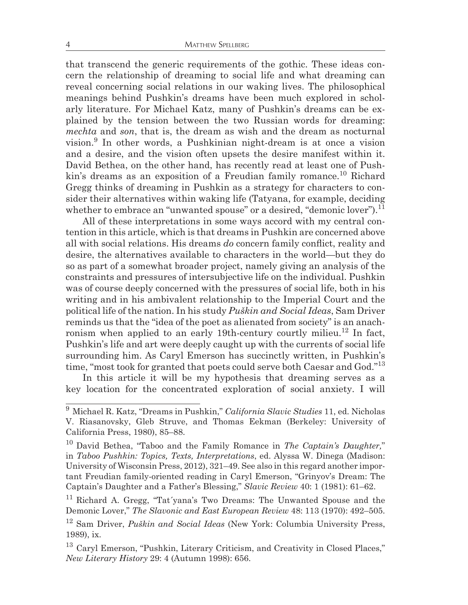that transcend the generic requirements of the gothic. These ideas concern the relationship of dreaming to social life and what dreaming can reveal concerning social relations in our waking lives. The philosophical meanings behind Pushkin's dreams have been much explored in scholarly literature. For Michael Katz, many of Pushkin's dreams can be explained by the tension between the two Russian words for dreaming: *mechta* and *son*, that is, the dream as wish and the dream as nocturnal vision.9 In other words, a Pushkinian night-dream is at once a vision and a desire, and the vision often upsets the desire manifest within it. David Bethea, on the other hand, has recently read at least one of Pushkin's dreams as an exposition of a Freudian family romance.<sup>10</sup> Richard Gregg thinks of dreaming in Pushkin as a strategy for characters to consider their alternatives within waking life (Tatyana, for example, deciding whether to embrace an "unwanted spouse" or a desired, "demonic lover").<sup>11</sup>

All of these interpretations in some ways accord with my central contention in this article, which is that dreams in Pushkin are concerned above all with social relations. His dreams *do* concern family confict, reality and desire, the alternatives available to characters in the world—but they do so as part of a somewhat broader project, namely giving an analysis of the constraints and pressures of intersubjective life on the individual. Pushkin was of course deeply concerned with the pressures of social life, both in his writing and in his ambivalent relationship to the Imperial Court and the political life of the nation. In his study *Puškin and Social Ideas*, Sam Driver reminds us that the "idea of the poet as alienated from society" is an anachronism when applied to an early 19th-century courtly milieu.<sup>12</sup> In fact, Pushkin's life and art were deeply caught up with the currents of social life surrounding him. As Caryl Emerson has succinctly written, in Pushkin's time, "most took for granted that poets could serve both Caesar and God."<sup>13</sup>

In this article it will be my hypothesis that dreaming serves as a key location for the concentrated exploration of social anxiety. I will

<sup>9</sup> Michael R. Katz, "Dreams in Pushkin," *California Slavic Studies* 11, ed. Nicholas V. Riasanovsky, Gleb Struve, and Thomas Eekman (Berkeley: University of California Press, 1980), 85–88.

<sup>10</sup> David Bethea, "Taboo and the Family Romance in *The Captain's Daughter,*" in *Taboo Pushkin: Topics, Texts, Interpretations*, ed. Alyssa W. Dinega (Madison: University of Wisconsin Press, 2012), 321–49. See also in this regard another important Freudian family-oriented reading in Caryl Emerson, "Grinyov's Dream: The Captain's Daughter and a Father's Blessing," *Slavic Review* 40: 1 (1981): 61–62.

<sup>&</sup>lt;sup>11</sup> Richard A. Gregg, "Tat'vana's Two Dreams: The Unwanted Spouse and the Demonic Lover," *The Slavonic and East European Review* 48: 113 (1970): 492–505.

<sup>12</sup> Sam Driver, *Puškin and Social Ideas* (New York: Columbia University Press, 1989), ix.

<sup>13</sup> Caryl Emerson, "Pushkin, Literary Criticism, and Creativity in Closed Places," *New Literary History* 29: 4 (Autumn 1998): 656.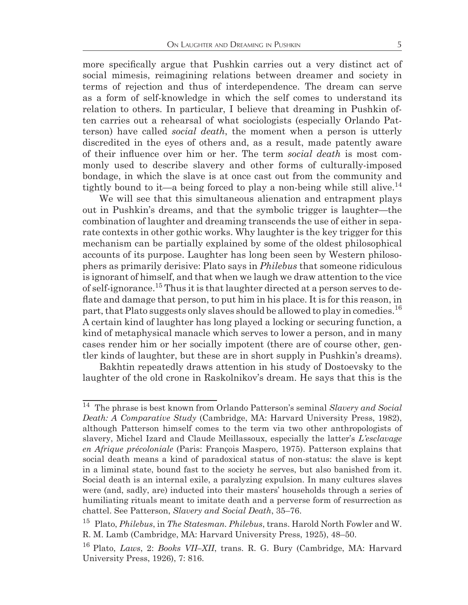more specifcally argue that Pushkin carries out a very distinct act of social mimesis, reimagining relations between dreamer and society in terms of rejection and thus of interdependence. The dream can serve as a form of self-knowledge in which the self comes to understand its relation to others. In particular, I believe that dreaming in Pushkin often carries out a rehearsal of what sociologists (especially Orlando Patterson) have called *social death*, the moment when a person is utterly discredited in the eyes of others and, as a result, made patently aware of their infuence over him or her. The term *social death* is most commonly used to describe slavery and other forms of culturally-imposed bondage, in which the slave is at once cast out from the community and tightly bound to it—a being forced to play a non-being while still alive.<sup>14</sup>

We will see that this simultaneous alienation and entrapment plays out in Pushkin's dreams, and that the symbolic trigger is laughter—the combination of laughter and dreaming transcends the use of either in separate contexts in other gothic works. Why laughter is the key trigger for this mechanism can be partially explained by some of the oldest philosophical accounts of its purpose. Laughter has long been seen by Western philosophers as primarily derisive: Plato says in *Philebus* that someone ridiculous is ignorant of himself, and that when we laugh we draw attention to the vice of self-ignorance.<sup>15</sup> Thus it is that laughter directed at a person serves to defate and damage that person, to put him in his place. It is for this reason, in part, that Plato suggests only slaves should be allowed to play in comedies.<sup>16</sup> A certain kind of laughter has long played a locking or securing function, a kind of metaphysical manacle which serves to lower a person, and in many cases render him or her socially impotent (there are of course other, gentler kinds of laughter, but these are in short supply in Pushkin's dreams).

Bakhtin repeatedly draws attention in his study of Dostoevsky to the laughter of the old crone in Raskolnikov's dream. He says that this is the

<sup>14</sup> The phrase is best known from Orlando Patterson's seminal *Slavery and Social Death: A Comparative Study* (Cambridge, MA: Harvard University Press, 1982), although Patterson himself comes to the term via two other anthropologists of slavery, Michel Izard and Claude Meillassoux, especially the latter's *L'esclavage en Afrique précoloniale* (Paris: François Maspero, 1975). Patterson explains that social death means a kind of paradoxical status of non-status: the slave is kept in a liminal state, bound fast to the society he serves, but also banished from it. Social death is an internal exile, a paralyzing expulsion. In many cultures slaves were (and, sadly, are) inducted into their masters' households through a series of humiliating rituals meant to imitate death and a perverse form of resurrection as chattel. See Patterson, *Slavery and Social Death*, 35–76.

<sup>15</sup> Plato, *Philebus*, in *The Statesman. Philebus*, trans. Harold North Fowler and W. R. M. Lamb (Cambridge, MA: Harvard University Press, 1925), 48–50.

<sup>16</sup> Plato, *Laws*, 2: *Books VII–XII*, trans. R. G. Bury (Cambridge, MA: Harvard University Press, 1926), 7: 816.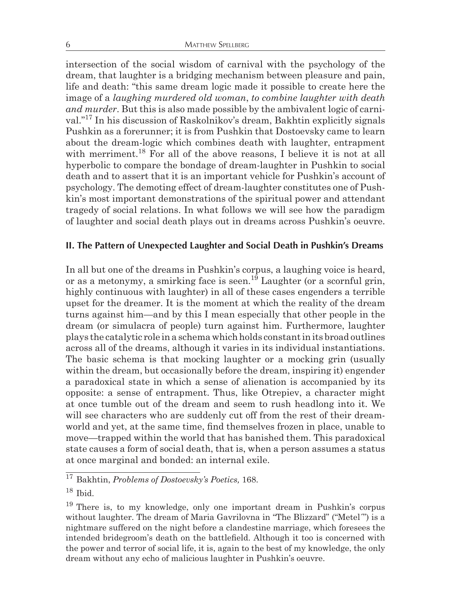intersection of the social wisdom of carnival with the psychology of the dream, that laughter is a bridging mechanism between pleasure and pain, life and death: "this same dream logic made it possible to create here the image of a *laughing murdered old woman*, *to combine laughter with death and murder*. But this is also made possible by the ambivalent logic of carnival."17 In his discussion of Raskolnikov's dream, Bakhtin explicitly signals Pushkin as a forerunner; it is from Pushkin that Dostoevsky came to learn about the dream-logic which combines death with laughter, entrapment with merriment.<sup>18</sup> For all of the above reasons, I believe it is not at all hyperbolic to compare the bondage of dream-laughter in Pushkin to social death and to assert that it is an important vehicle for Pushkin's account of psychology. The demoting effect of dream-laughter constitutes one of Pushkin's most important demonstrations of the spiritual power and attendant tragedy of social relations. In what follows we will see how the paradigm of laughter and social death plays out in dreams across Pushkin's oeuvre.

### **II. The Pattern of Unexpected Laughter and Social Death in Pushkin's Dreams**

In all but one of the dreams in Pushkin's corpus, a laughing voice is heard, or as a metonymy, a smirking face is seen.<sup>19</sup> Laughter (or a scornful grin, highly continuous with laughter) in all of these cases engenders a terrible upset for the dreamer. It is the moment at which the reality of the dream turns against him—and by this I mean especially that other people in the dream (or simulacra of people) turn against him. Furthermore, laughter plays the catalytic role in a schema which holds constant in its broad outlines across all of the dreams, although it varies in its individual instantiations. The basic schema is that mocking laughter or a mocking grin (usually within the dream, but occasionally before the dream, inspiring it) engender a paradoxical state in which a sense of alienation is accompanied by its opposite: a sense of entrapment. Thus, like Otrepiev, a character might at once tumble out of the dream and seem to rush headlong into it. We will see characters who are suddenly cut off from the rest of their dreamworld and yet, at the same time, fnd themselves frozen in place, unable to move—trapped within the world that has banished them. This paradoxical state causes a form of social death, that is, when a person assumes a status at once marginal and bonded: an internal exile.

<sup>17</sup> Bakhtin, *Problems of Dostoevsky's Poetics,* 168.

 $18$  Ibid.

<sup>&</sup>lt;sup>19</sup> There is, to my knowledge, only one important dream in Pushkin's corpus without laughter. The dream of Maria Gavrilovna in "The Blizzard" ("Metel´") is a nightmare suffered on the night before a clandestine marriage, which foresees the intended bridegroom's death on the battlefeld. Although it too is concerned with the power and terror of social life, it is, again to the best of my knowledge, the only dream without any echo of malicious laughter in Pushkin's oeuvre.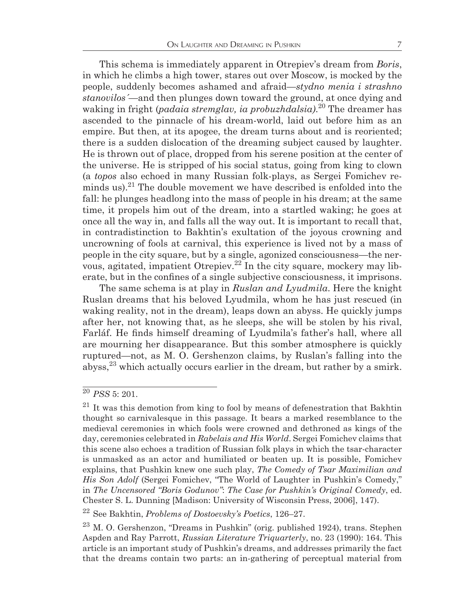This schema is immediately apparent in Otrepiev's dream from *Boris*, in which he climbs a high tower, stares out over Moscow, is mocked by the people, suddenly becomes ashamed and afraid—*stydno menia i strashno stanovilos´*—and then plunges down toward the ground, at once dying and waking in fright (*padaia stremglav, ia probuzhdalsia)*. 20 The dreamer has ascended to the pinnacle of his dream-world, laid out before him as an empire. But then, at its apogee, the dream turns about and is reoriented; there is a sudden dislocation of the dreaming subject caused by laughter. He is thrown out of place, dropped from his serene position at the center of the universe. He is stripped of his social status, going from king to clown (a *topos* also echoed in many Russian folk-plays, as Sergei Fomichev reminds us).<sup>21</sup> The double movement we have described is enfolded into the fall: he plunges headlong into the mass of people in his dream; at the same time, it propels him out of the dream, into a startled waking; he goes at once all the way in, and falls all the way out. It is important to recall that, in contradistinction to Bakhtin's exultation of the joyous crowning and uncrowning of fools at carnival, this experience is lived not by a mass of people in the city square, but by a single, agonized consciousness—the nervous, agitated, impatient Otrepiev. $22$  In the city square, mockery may liberate, but in the confnes of a single subjective consciousness, it imprisons.

The same schema is at play in *Ruslan and Lyudmila*. Here the knight Ruslan dreams that his beloved Lyudmila, whom he has just rescued (in waking reality, not in the dream), leaps down an abyss. He quickly jumps after her, not knowing that, as he sleeps, she will be stolen by his rival, Farláf. He fnds himself dreaming of Lyudmila's father's hall, where all are mourning her disappearance. But this somber atmosphere is quickly ruptured—not, as M. O. Gershenzon claims, by Ruslan's falling into the abyss,  $23$  which actually occurs earlier in the dream, but rather by a smirk.

 $\frac{20}{20}$  *PSS* 5: 201.

<sup>&</sup>lt;sup>21</sup> It was this demotion from king to fool by means of defenestration that Bakhtin thought so carnivalesque in this passage. It bears a marked resemblance to the medieval ceremonies in which fools were crowned and dethroned as kings of the day, ceremonies celebrated in *Rabelais and His World*. Sergei Fomichev claims that this scene also echoes a tradition of Russian folk plays in which the tsar-character is unmasked as an actor and humiliated or beaten up. It is possible, Fomichev explains, that Pushkin knew one such play, *The Comedy of Tsar Maximilian and His Son Adolf* (Sergei Fomichev, "The World of Laughter in Pushkin's Comedy," in *The Uncensored "Boris Godunov"*: *The Case for Pushkin's Original Comedy*, ed. Chester S. L. Dunning [Madison: University of Wisconsin Press, 2006], 147).

<sup>22</sup> See Bakhtin, *Problems of Dostoevsky's Poetics*, 126–27.

<sup>23</sup> M. O. Gershenzon, "Dreams in Pushkin" (orig. published 1924), trans. Stephen Aspden and Ray Parrott, *Russian Literature Triquarterly*, no. 23 (1990): 164. This article is an important study of Pushkin's dreams, and addresses primarily the fact that the dreams contain two parts: an in-gathering of perceptual material from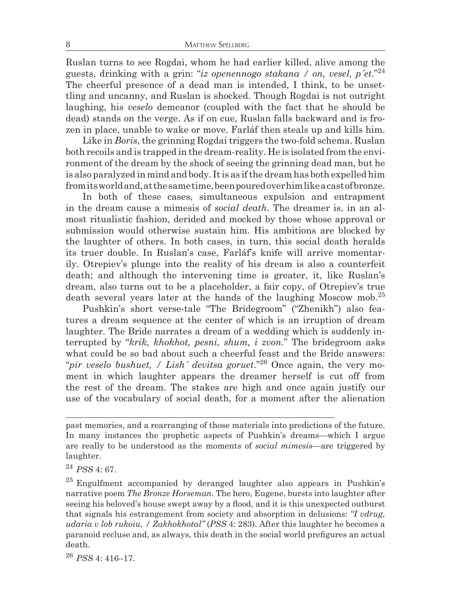Ruslan turns to see Rogdai, whom he had earlier killed, alive among the guests, drinking with a grin: "*iz openennogo stakana / on, vesel, p´et*."24 The cheerful presence of a dead man is intended, I think, to be unsettling and uncanny, and Ruslan is shocked. Though Rogdai is not outright laughing, his *veselo* demeanor (coupled with the fact that he should be dead) stands on the verge. As if on cue, Ruslan falls backward and is frozen in place, unable to wake or move. Farláf then steals up and kills him.

Like in *Boris*, the grinning Rogdai triggers the two-fold schema. Ruslan both recoils and is trapped in the dream-reality. He is isolated from the environment of the dream by the shock of seeing the grinning dead man, but he is also paralyzed in mind and body. It is as if the dream has both expelled him from its world and, at the same time, been poured over him like a cast of bronze.

In both of these cases, simultaneous expulsion and entrapment in the dream cause a mimesis of *social death*. The dreamer is, in an almost ritualistic fashion, derided and mocked by those whose approval or submission would otherwise sustain him. His ambitions are blocked by the laughter of others. In both cases, in turn, this social death heralds its truer double. In Ruslan's case, Farláf's knife will arrive momentarily. Otrepiev's plunge into the reality of his dream is also a counterfeit death; and although the intervening time is greater, it, like Ruslan's dream, also turns out to be a placeholder, a fair copy, of Otrepiev's true death several years later at the hands of the laughing Moscow mob.<sup>25</sup>

Pushkin's short verse-tale "The Bridegroom" ("Zhenikh") also features a dream sequence at the center of which is an irruption of dream laughter. The Bride narrates a dream of a wedding which is suddenly interrupted by "*krik, khokhot, pesni, shum, i zvon.*" The bridegroom asks what could be so bad about such a cheerful feast and the Bride answers: "*pir veselo bushuet, / Lish' devitsa goruet*."<sup>26</sup> Once again, the very moment in which laughter appears the dreamer herself is cut off from the rest of the dream. The stakes are high and once again justify our use of the vocabulary of social death, for a moment after the alienation

<sup>26</sup> *PSS* 4: 416–17.

past memories, and a rearranging of those materials into predictions of the future. In many instances the prophetic aspects of Pushkin's dreams—which I argue are really to be understood as the moments of *social mimesis*—are triggered by laughter.

<sup>24</sup> *PSS* 4: 67.

 $^{25}$  Engulfment accompanied by deranged laughter also appears in Pushkin's narrative poem *The Bronze Horseman*. The hero, Eugene, bursts into laughter after seeing his beloved's house swept away by a food, and it is this unexpected outburst that signals his estrangement from society and absorption in delusions: *"I vdrug, udaria v lob rukoiu, / Zakhokhotal"* (*PSS* 4: 283). After this laughter he becomes a paranoid recluse and, as always, this death in the social world prefgures an actual death.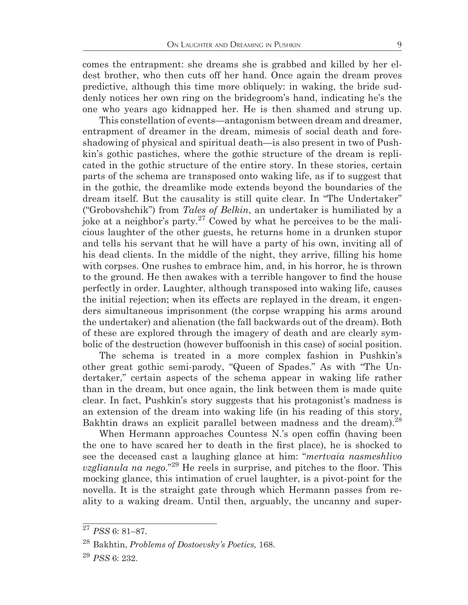comes the entrapment: she dreams she is grabbed and killed by her eldest brother, who then cuts off her hand. Once again the dream proves predictive, although this time more obliquely: in waking, the bride suddenly notices her own ring on the bridegroom's hand, indicating he's the one who years ago kidnapped her. He is then shamed and strung up.

This constellation of events—antagonism between dream and dreamer, entrapment of dreamer in the dream, mimesis of social death and foreshadowing of physical and spiritual death—is also present in two of Pushkin's gothic pastiches, where the gothic structure of the dream is replicated in the gothic structure of the entire story. In these stories, certain parts of the schema are transposed onto waking life, as if to suggest that in the gothic, the dreamlike mode extends beyond the boundaries of the dream itself. But the causality is still quite clear. In "The Undertaker" ("Grobovshchik") from *Tales of Belkin*, an undertaker is humiliated by a joke at a neighbor's party.<sup>27</sup> Cowed by what he perceives to be the malicious laughter of the other guests, he returns home in a drunken stupor and tells his servant that he will have a party of his own, inviting all of his dead clients. In the middle of the night, they arrive, flling his home with corpses. One rushes to embrace him, and, in his horror, he is thrown to the ground. He then awakes with a terrible hangover to fnd the house perfectly in order. Laughter, although transposed into waking life, causes the initial rejection; when its effects are replayed in the dream, it engenders simultaneous imprisonment (the corpse wrapping his arms around the undertaker) and alienation (the fall backwards out of the dream). Both of these are explored through the imagery of death and are clearly symbolic of the destruction (however buffoonish in this case) of social position.

The schema is treated in a more complex fashion in Pushkin's other great gothic semi-parody, "Queen of Spades." As with "The Undertaker," certain aspects of the schema appear in waking life rather than in the dream, but once again, the link between them is made quite clear. In fact, Pushkin's story suggests that his protagonist's madness is an extension of the dream into waking life (in his reading of this story, Bakhtin draws an explicit parallel between madness and the dream).<sup>28</sup>

When Hermann approaches Countess N.'s open coffn (having been the one to have scared her to death in the frst place), he is shocked to see the deceased cast a laughing glance at him: "*mertvaia nasmeshlivo vzglianula na nego*."<sup>29</sup> He reels in surprise, and pitches to the foor. This mocking glance, this intimation of cruel laughter, is a pivot-point for the novella. It is the straight gate through which Hermann passes from reality to a waking dream. Until then, arguably, the uncanny and super-

 $\overline{^{27}$  *PSS* 6: 81–87.

<sup>28</sup> Bakhtin, *Problems of Dostoevsky's Poetics,* 168.

<sup>29</sup> *PSS* 6: 232.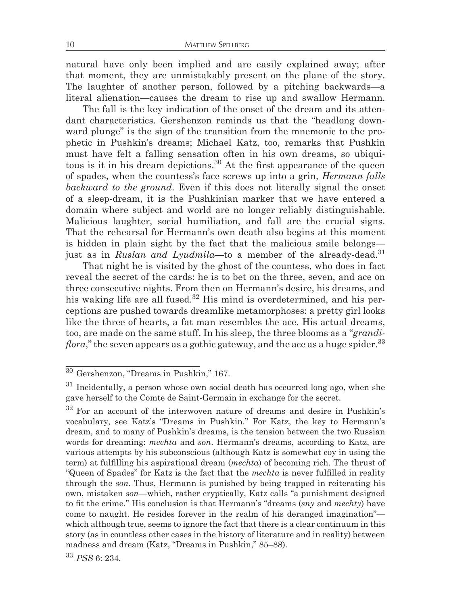natural have only been implied and are easily explained away; after that moment, they are unmistakably present on the plane of the story. The laughter of another person, followed by a pitching backwards—a literal alienation—causes the dream to rise up and swallow Hermann.

The fall is the key indication of the onset of the dream and its attendant characteristics. Gershenzon reminds us that the "headlong downward plunge" is the sign of the transition from the mnemonic to the prophetic in Pushkin's dreams; Michael Katz, too, remarks that Pushkin must have felt a falling sensation often in his own dreams, so ubiquitous is it in his dream depictions.<sup>30</sup> At the first appearance of the queen of spades, when the countess's face screws up into a grin, *Hermann falls backward to the ground*. Even if this does not literally signal the onset of a sleep-dream, it is the Pushkinian marker that we have entered a domain where subject and world are no longer reliably distinguishable. Malicious laughter, social humiliation, and fall are the crucial signs. That the rehearsal for Hermann's own death also begins at this moment is hidden in plain sight by the fact that the malicious smile belongs just as in *Ruslan and Lyudmila*—to a member of the already-dead.<sup>31</sup>

That night he is visited by the ghost of the countess, who does in fact reveal the secret of the cards: he is to bet on the three, seven, and ace on three consecutive nights. From then on Hermann's desire, his dreams, and his waking life are all fused.<sup>32</sup> His mind is overdetermined, and his perceptions are pushed towards dreamlike metamorphoses: a pretty girl looks like the three of hearts, a fat man resembles the ace. His actual dreams, too, are made on the same stuff. In his sleep, the three blooms as a "*grandiflora*," the seven appears as a gothic gateway, and the ace as a huge spider.<sup>33</sup>

<sup>30</sup> Gershenzon, "Dreams in Pushkin," 167.

 $31$  Incidentally, a person whose own social death has occurred long ago, when she gave herself to the Comte de Saint-Germain in exchange for the secret.

 $32$  For an account of the interwoven nature of dreams and desire in Pushkin's vocabulary, see Katz's "Dreams in Pushkin." For Katz, the key to Hermann's dream, and to many of Pushkin's dreams, is the tension between the two Russian words for dreaming: *mechta* and *son*. Hermann's dreams, according to Katz, are various attempts by his subconscious (although Katz is somewhat coy in using the term) at fulflling his aspirational dream (*mechta*) of becoming rich. The thrust of "Queen of Spades" for Katz is the fact that the *mechta* is never fulflled in reality through the *son*. Thus, Hermann is punished by being trapped in reiterating his own, mistaken *son*—which, rather cryptically, Katz calls "a punishment designed to ft the crime." His conclusion is that Hermann's "dreams (*sny* and *mechty*) have come to naught. He resides forever in the realm of his deranged imagination" which although true, seems to ignore the fact that there is a clear continuum in this story (as in countless other cases in the history of literature and in reality) between madness and dream (Katz, "Dreams in Pushkin," 85–88).

<sup>33</sup> *PSS* 6: 234*.*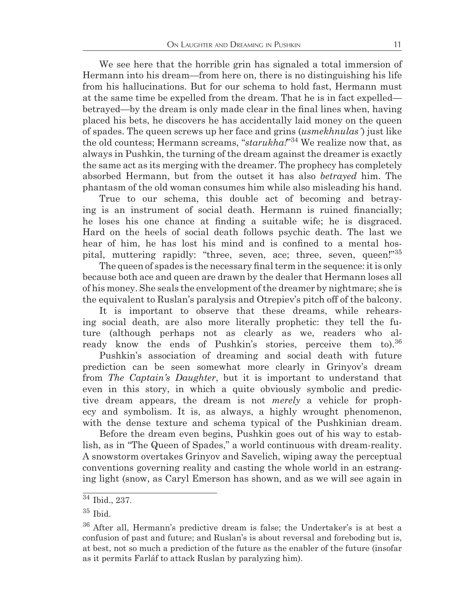We see here that the horrible grin has signaled a total immersion of Hermann into his dream—from here on, there is no distinguishing his life from his hallucinations. But for our schema to hold fast, Hermann must at the same time be expelled from the dream. That he is in fact expelled betrayed—by the dream is only made clear in the fnal lines when, having placed his bets, he discovers he has accidentally laid money on the queen of spades. The queen screws up her face and grins (*usmekhnulas´*) just like the old countess; Hermann screams, "*starukha!*"<sup>34</sup> We realize now that, as always in Pushkin, the turning of the dream against the dreamer is exactly the same act as its merging with the dreamer. The prophecy has completely absorbed Hermann, but from the outset it has also *betrayed* him. The phantasm of the old woman consumes him while also misleading his hand.

True to our schema, this double act of becoming and betraying is an instrument of social death. Hermann is ruined fnancially; he loses his one chance at fnding a suitable wife; he is disgraced. Hard on the heels of social death follows psychic death. The last we hear of him, he has lost his mind and is confined to a mental hospital, muttering rapidly: "three, seven, ace; three, seven, queen!"<sup>35</sup>

The queen of spades is the necessary fnal term in the sequence: it is only because both ace and queen are drawn by the dealer that Hermann loses all of his money. She seals the envelopment of the dreamer by nightmare; she is the equivalent to Ruslan's paralysis and Otrepiev's pitch off of the balcony.

It is important to observe that these dreams, while rehearsing social death, are also more literally prophetic: they tell the future (although perhaps not as clearly as we, readers who already know the ends of Pushkin's stories, perceive them to).<sup>36</sup>

Pushkin's association of dreaming and social death with future prediction can be seen somewhat more clearly in Grinyov's dream from *The Captain's Daughter*, but it is important to understand that even in this story, in which a quite obviously symbolic and predictive dream appears, the dream is not *merely* a vehicle for prophecy and symbolism. It is, as always, a highly wrought phenomenon, with the dense texture and schema typical of the Pushkinian dream.

Before the dream even begins, Pushkin goes out of his way to establish, as in "The Queen of Spades," a world continuous with dream-reality. A snowstorm overtakes Grinyov and Savelich, wiping away the perceptual conventions governing reality and casting the whole world in an estranging light (snow, as Caryl Emerson has shown, and as we will see again in

<sup>34</sup> Ibid., 237.

 $35$  Ibid.

 $36$  After all, Hermann's predictive dream is false; the Undertaker's is at best a confusion of past and future; and Ruslan's is about reversal and foreboding but is, at best, not so much a prediction of the future as the enabler of the future (insofar as it permits Farláf to attack Ruslan by paralyzing him).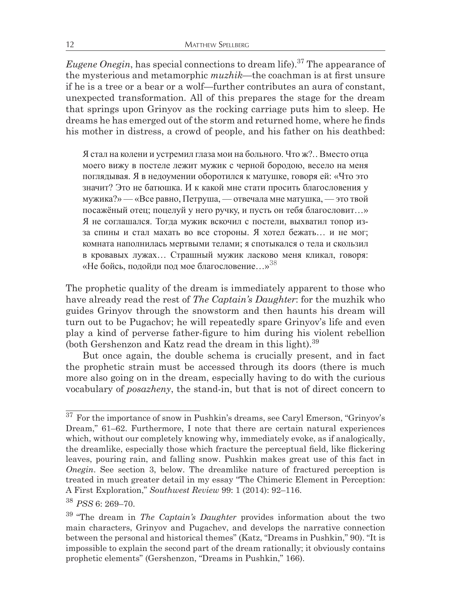*Eugene Onegin*, has special connections to dream life).<sup>37</sup> The appearance of the mysterious and metamorphic *muzhik*—the coachman is at frst unsure if he is a tree or a bear or a wolf—further contributes an aura of constant, unexpected transformation. All of this prepares the stage for the dream that springs upon Grinyov as the rocking carriage puts him to sleep. He dreams he has emerged out of the storm and returned home, where he fnds his mother in distress, a crowd of people, and his father on his deathbed:

Я стал на колени и устремил глаза мои на больного. Что ж?.. Вместо отца моего вижу в постеле лежит мужик с черной бородою, весело на меня поглядывая. Я в недоумении оборотился к матушке, говоря ей: «Что это значит? Это не батюшка. И к какой мне стати просить благословения у мужика?» — «Все равно, Петруша, — отвечала мне матушка, — это твой посажёный отец; поцелуй у него ручку, и пусть он тебя благословит…» Я не соглашался. Тогда мужик вскочил с постели, выхватил топор изза спины и стал махать во все стороны. Я хотел бежать… и не мог; комната наполнилась мертвыми телами; я спотыкался о тела и скользил в кровавых лужах… Страшный мужик ласково меня кликал, говоря: «Не бойсь, подойди под мое благословение...»<sup>38</sup>

The prophetic quality of the dream is immediately apparent to those who have already read the rest of *The Captain's Daughter*: for the muzhik who guides Grinyov through the snowstorm and then haunts his dream will turn out to be Pugachov; he will repeatedly spare Grinyov's life and even play a kind of perverse father-fgure to him during his violent rebellion (both Gershenzon and Katz read the dream in this light).<sup>39</sup>

But once again, the double schema is crucially present, and in fact the prophetic strain must be accessed through its doors (there is much more also going on in the dream, especially having to do with the curious vocabulary of *posazheny*, the stand-in, but that is not of direct concern to

 $37$  For the importance of snow in Pushkin's dreams, see Caryl Emerson, "Grinyov's Dream," 61–62. Furthermore, I note that there are certain natural experiences which, without our completely knowing why, immediately evoke, as if analogically, the dreamlike, especially those which fracture the perceptual feld, like fickering leaves, pouring rain, and falling snow. Pushkin makes great use of this fact in *Onegin*. See section 3, below. The dreamlike nature of fractured perception is treated in much greater detail in my essay "The Chimeric Element in Perception: A First Exploration," *Southwest Review* 99: 1 (2014): 92–116.

<sup>38</sup> *PSS* 6: 269–70.

<sup>39</sup> "The dream in *The Captain's Daughter* provides information about the two main characters, Grinyov and Pugachev, and develops the narrative connection between the personal and historical themes" (Katz, "Dreams in Pushkin," 90). "It is impossible to explain the second part of the dream rationally; it obviously contains prophetic elements" (Gershenzon, "Dreams in Pushkin," 166).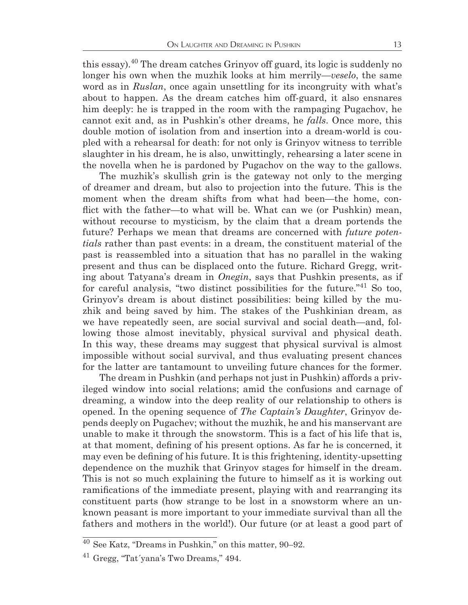this essay).<sup>40</sup> The dream catches Grinyov off guard, its logic is suddenly no longer his own when the muzhik looks at him merrily—*veselo*, the same word as in *Ruslan*, once again unsettling for its incongruity with what's about to happen. As the dream catches him off-guard, it also ensnares him deeply: he is trapped in the room with the rampaging Pugachov, he cannot exit and, as in Pushkin's other dreams, he *falls*. Once more, this double motion of isolation from and insertion into a dream-world is coupled with a rehearsal for death: for not only is Grinyov witness to terrible slaughter in his dream, he is also, unwittingly, rehearsing a later scene in the novella when he is pardoned by Pugachov on the way to the gallows.

The muzhik's skullish grin is the gateway not only to the merging of dreamer and dream, but also to projection into the future. This is the moment when the dream shifts from what had been—the home, confict with the father—to what will be. What can we (or Pushkin) mean, without recourse to mysticism, by the claim that a dream portends the future? Perhaps we mean that dreams are concerned with *future potentials* rather than past events: in a dream, the constituent material of the past is reassembled into a situation that has no parallel in the waking present and thus can be displaced onto the future. Richard Gregg, writing about Tatyana's dream in *Onegin*, says that Pushkin presents, as if for careful analysis, "two distinct possibilities for the future."<sup>41</sup> So too, Grinyov's dream is about distinct possibilities: being killed by the muzhik and being saved by him. The stakes of the Pushkinian dream, as we have repeatedly seen, are social survival and social death—and, following those almost inevitably, physical survival and physical death. In this way, these dreams may suggest that physical survival is almost impossible without social survival, and thus evaluating present chances for the latter are tantamount to unveiling future chances for the former.

The dream in Pushkin (and perhaps not just in Pushkin) affords a privileged window into social relations; amid the confusions and carnage of dreaming, a window into the deep reality of our relationship to others is opened. In the opening sequence of *The Captain's Daughter*, Grinyov depends deeply on Pugachev; without the muzhik, he and his manservant are unable to make it through the snowstorm. This is a fact of his life that is, at that moment, defning of his present options. As far he is concerned, it may even be defning of his future. It is this frightening, identity-upsetting dependence on the muzhik that Grinyov stages for himself in the dream. This is not so much explaining the future to himself as it is working out ramifcations of the immediate present, playing with and rearranging its constituent parts (how strange to be lost in a snowstorm where an unknown peasant is more important to your immediate survival than all the fathers and mothers in the world!). Our future (or at least a good part of

<sup>40</sup> See Katz, "Dreams in Pushkin," on this matter, 90–92.

 $41$  Gregg, "Tat'yana's Two Dreams," 494.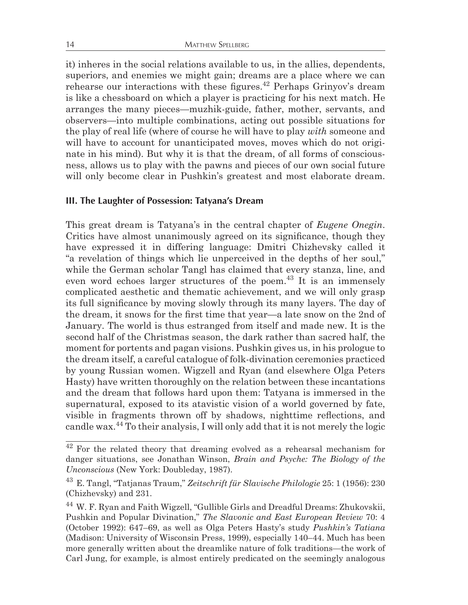it) inheres in the social relations available to us, in the allies, dependents, superiors, and enemies we might gain; dreams are a place where we can rehearse our interactions with these figures.<sup>42</sup> Perhaps Grinyov's dream is like a chessboard on which a player is practicing for his next match. He arranges the many pieces—muzhik-guide, father, mother, servants, and observers—into multiple combinations, acting out possible situations for the play of real life (where of course he will have to play *with* someone and will have to account for unanticipated moves, moves which do not originate in his mind). But why it is that the dream, of all forms of consciousness, allows us to play with the pawns and pieces of our own social future will only become clear in Pushkin's greatest and most elaborate dream.

### **III. The Laughter of Possession: Tatyana's Dream**

This great dream is Tatyana's in the central chapter of *Eugene Onegin*. Critics have almost unanimously agreed on its signifcance, though they have expressed it in differing language: Dmitri Chizhevsky called it "a revelation of things which lie unperceived in the depths of her soul," while the German scholar Tangl has claimed that every stanza, line, and even word echoes larger structures of the poem.<sup>43</sup> It is an immensely complicated aesthetic and thematic achievement, and we will only grasp its full signifcance by moving slowly through its many layers. The day of the dream, it snows for the frst time that year—a late snow on the 2nd of January. The world is thus estranged from itself and made new. It is the second half of the Christmas season, the dark rather than sacred half, the moment for portents and pagan visions. Pushkin gives us, in his prologue to the dream itself, a careful catalogue of folk-divination ceremonies practiced by young Russian women. Wigzell and Ryan (and elsewhere Olga Peters Hasty) have written thoroughly on the relation between these incantations and the dream that follows hard upon them: Tatyana is immersed in the supernatural, exposed to its atavistic vision of a world governed by fate, visible in fragments thrown off by shadows, nighttime refections, and candle wax.44 To their analysis, I will only add that it is not merely the logic

 $\frac{42}{42}$  For the related theory that dreaming evolved as a rehearsal mechanism for danger situations, see Jonathan Winson, *Brain and Psyche: The Biology of the Unconscious* (New York: Doubleday, 1987).

<sup>43</sup> E. Tangl, "Tatjanas Traum," *Zeitschrift für Slavische Philologie* 25: 1 (1956): 230 (Chizhevsky) and 231.

<sup>&</sup>lt;sup>44</sup> W. F. Ryan and Faith Wigzell, "Gullible Girls and Dreadful Dreams: Zhukovskii, Pushkin and Popular Divination," *The Slavonic and East European Review* 70: 4 (October 1992): 647–69, as well as Olga Peters Hasty's study *Pushkin's Tatiana* (Madison: University of Wisconsin Press, 1999), especially 140–44. Much has been more generally written about the dreamlike nature of folk traditions—the work of Carl Jung, for example, is almost entirely predicated on the seemingly analogous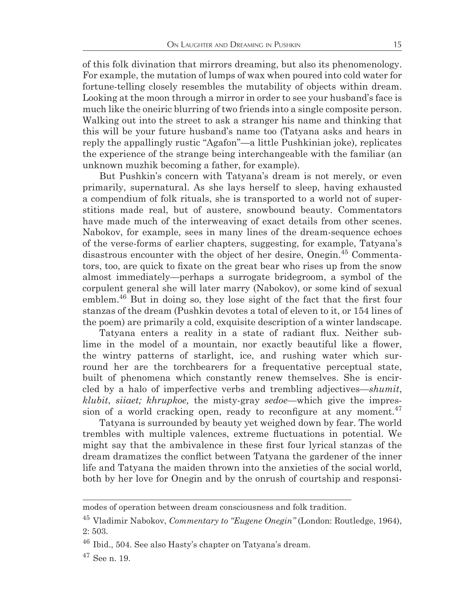of this folk divination that mirrors dreaming, but also its phenomenology. For example, the mutation of lumps of wax when poured into cold water for fortune-telling closely resembles the mutability of objects within dream. Looking at the moon through a mirror in order to see your husband's face is much like the oneiric blurring of two friends into a single composite person. Walking out into the street to ask a stranger his name and thinking that this will be your future husband's name too (Tatyana asks and hears in reply the appallingly rustic "Agafon"—a little Pushkinian joke), replicates the experience of the strange being interchangeable with the familiar (an unknown muzhik becoming a father, for example).

But Pushkin's concern with Tatyana's dream is not merely, or even primarily, supernatural. As she lays herself to sleep, having exhausted a compendium of folk rituals, she is transported to a world not of superstitions made real, but of austere, snowbound beauty. Commentators have made much of the interweaving of exact details from other scenes. Nabokov, for example, sees in many lines of the dream-sequence echoes of the verse-forms of earlier chapters, suggesting, for example, Tatyana's disastrous encounter with the object of her desire, Onegin.45 Commentators, too, are quick to fxate on the great bear who rises up from the snow almost immediately—perhaps a surrogate bridegroom, a symbol of the corpulent general she will later marry (Nabokov), or some kind of sexual emblem.<sup>46</sup> But in doing so, they lose sight of the fact that the first four stanzas of the dream (Pushkin devotes a total of eleven to it, or 154 lines of the poem) are primarily a cold, exquisite description of a winter landscape.

Tatyana enters a reality in a state of radiant fux. Neither sublime in the model of a mountain, nor exactly beautiful like a flower, the wintry patterns of starlight, ice, and rushing water which surround her are the torchbearers for a frequentative perceptual state, built of phenomena which constantly renew themselves. She is encircled by a halo of imperfective verbs and trembling adjectives—*shumit*, *klubit*, *siiaet; khrupkoe,* the misty-gray *sedoe—*which give the impression of a world cracking open, ready to reconfigure at any moment.  $47$ 

Tatyana is surrounded by beauty yet weighed down by fear. The world trembles with multiple valences, extreme fuctuations in potential. We might say that the ambivalence in these frst four lyrical stanzas of the dream dramatizes the confict between Tatyana the gardener of the inner life and Tatyana the maiden thrown into the anxieties of the social world, both by her love for Onegin and by the onrush of courtship and responsi-

modes of operation between dream consciousness and folk tradition.

<sup>45</sup> Vladimir Nabokov, *Commentary to "Eugene Onegin"* (London: Routledge, 1964), 2: 503.

<sup>46</sup> Ibid., 504. See also Hasty's chapter on Tatyana's dream.

<sup>47</sup> See n. 19.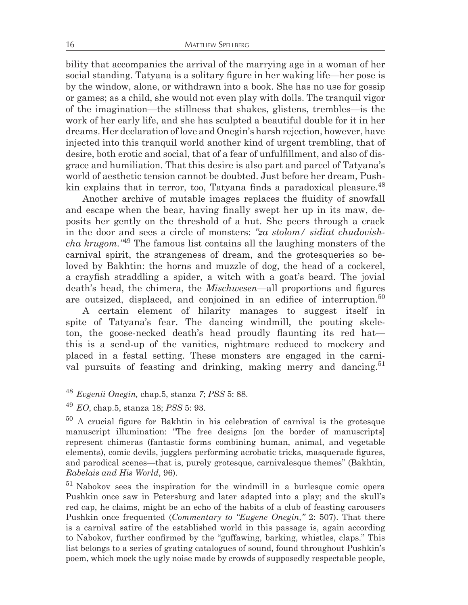bility that accompanies the arrival of the marrying age in a woman of her social standing. Tatyana is a solitary fgure in her waking life—her pose is by the window, alone, or withdrawn into a book. She has no use for gossip or games; as a child, she would not even play with dolls. The tranquil vigor of the imagination—the stillness that shakes, glistens, trembles—is the work of her early life, and she has sculpted a beautiful double for it in her dreams. Her declaration of love and Onegin's harsh rejection, however, have injected into this tranquil world another kind of urgent trembling, that of desire, both erotic and social, that of a fear of unfulfllment, and also of disgrace and humiliation. That this desire is also part and parcel of Tatyana's world of aesthetic tension cannot be doubted. Just before her dream, Pushkin explains that in terror, too, Tatyana finds a paradoxical pleasure.<sup>48</sup>

Another archive of mutable images replaces the fuidity of snowfall and escape when the bear, having fnally swept her up in its maw, deposits her gently on the threshold of a hut. She peers through a crack in the door and sees a circle of monsters: *"za stolom/ sidiat chudovishcha krugom."*<sup>49</sup> The famous list contains all the laughing monsters of the carnival spirit, the strangeness of dream, and the grotesqueries so beloved by Bakhtin: the horns and muzzle of dog, the head of a cockerel, a crayfsh straddling a spider, a witch with a goat's beard. The jovial death's head, the chimera, the *Mischwesen—*all proportions and fgures are outsized, displaced, and conjoined in an edifice of interruption.<sup>50</sup>

A certain element of hilarity manages to suggest itself in spite of Tatyana's fear. The dancing windmill, the pouting skeleton, the goose-necked death's head proudly faunting its red hat this is a send-up of the vanities, nightmare reduced to mockery and placed in a festal setting. These monsters are engaged in the carnival pursuits of feasting and drinking, making merry and dancing.<sup>51</sup>

<sup>48</sup> *Evgenii Onegin,* chap.5, stanza *7*; *PSS* 5: 88.

<sup>49</sup> *EO*, chap.5, stanza 18; *PSS* 5: 93.

<sup>50</sup> A crucial fgure for Bakhtin in his celebration of carnival is the grotesque manuscript illumination: "The free designs [on the border of manuscripts] represent chimeras (fantastic forms combining human, animal, and vegetable elements), comic devils, jugglers performing acrobatic tricks, masquerade fgures, and parodical scenes—that is, purely grotesque, carnivalesque themes" (Bakhtin, *Rabelais and His World*, 96).

 $51$  Nabokov sees the inspiration for the windmill in a burlesque comic opera Pushkin once saw in Petersburg and later adapted into a play; and the skull's red cap, he claims, might be an echo of the habits of a club of feasting carousers Pushkin once frequented (*Commentary to "Eugene Onegin,"* 2: 507). That there is a carnival satire of the established world in this passage is, again according to Nabokov, further confrmed by the "guffawing, barking, whistles, claps." This list belongs to a series of grating catalogues of sound, found throughout Pushkin's poem, which mock the ugly noise made by crowds of supposedly respectable people,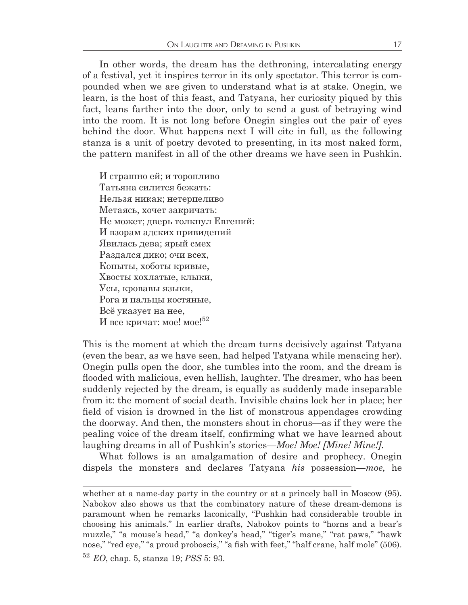In other words, the dream has the dethroning, intercalating energy of a festival, yet it inspires terror in its only spectator. This terror is compounded when we are given to understand what is at stake. Onegin, we learn, is the host of this feast, and Tatyana, her curiosity piqued by this fact, leans farther into the door, only to send a gust of betraying wind into the room. It is not long before Onegin singles out the pair of eyes behind the door. What happens next I will cite in full, as the following stanza is a unit of poetry devoted to presenting, in its most naked form, the pattern manifest in all of the other dreams we have seen in Pushkin.

И страшно ей; и торопливо Татьяна силится бежать: Нельзя никак; нетерпеливо Метаясь, хочет закричать: Не может; дверь толкнул Евгений: И взорам адских привидений Явилась дева; ярый смех Раздался дико; очи всех, Копыты, хоботы кривые, Хвосты хохлатые, клыки, Усы, кровавы языки, Рога и пальцы костяные, Всё указует на нее, И все кричат: мое! мое!<sup>52</sup>

This is the moment at which the dream turns decisively against Tatyana (even the bear, as we have seen, had helped Tatyana while menacing her). Onegin pulls open the door, she tumbles into the room, and the dream is fooded with malicious, even hellish, laughter. The dreamer, who has been suddenly rejected by the dream, is equally as suddenly made inseparable from it: the moment of social death. Invisible chains lock her in place; her feld of vision is drowned in the list of monstrous appendages crowding the doorway. And then, the monsters shout in chorus—as if they were the pealing voice of the dream itself, confrming what we have learned about laughing dreams in all of Pushkin's stories—*Moe! Moe! [Mine! Mine!].*

What follows is an amalgamation of desire and prophecy. Onegin dispels the monsters and declares Tatyana *his* possession—*moe,* he

whether at a name-day party in the country or at a princely ball in Moscow (95). Nabokov also shows us that the combinatory nature of these dream-demons is paramount when he remarks laconically, "Pushkin had considerable trouble in choosing his animals." In earlier drafts, Nabokov points to "horns and a bear's muzzle," "a mouse's head," "a donkey's head," "tiger's mane," "rat paws," "hawk nose," "red eye," "a proud proboscis," "a fsh with feet," "half crane, half mole" (506).

<sup>52</sup> *EO*, chap. 5, stanza 19; *PSS* 5: 93.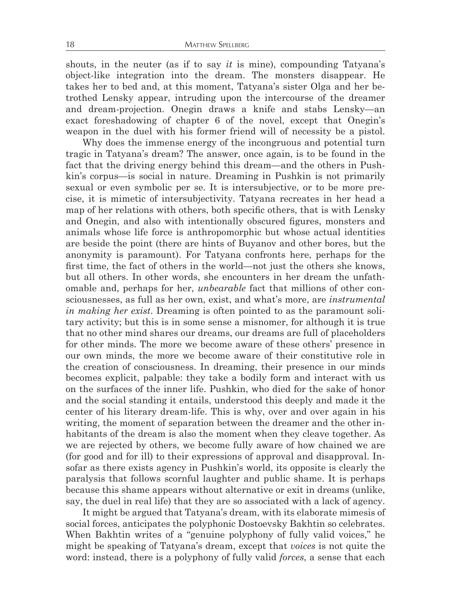shouts, in the neuter (as if to say *it* is mine), compounding Tatyana's object-like integration into the dream. The monsters disappear. He takes her to bed and, at this moment, Tatyana's sister Olga and her betrothed Lensky appear, intruding upon the intercourse of the dreamer and dream-projection. Onegin draws a knife and stabs Lensky—an exact foreshadowing of chapter 6 of the novel, except that Onegin's weapon in the duel with his former friend will of necessity be a pistol.

Why does the immense energy of the incongruous and potential turn tragic in Tatyana's dream? The answer, once again, is to be found in the fact that the driving energy behind this dream—and the others in Pushkin's corpus—is social in nature. Dreaming in Pushkin is not primarily sexual or even symbolic per se. It is intersubjective, or to be more precise, it is mimetic of intersubjectivity. Tatyana recreates in her head a map of her relations with others, both specifc others, that is with Lensky and Onegin, and also with intentionally obscured fgures, monsters and animals whose life force is anthropomorphic but whose actual identities are beside the point (there are hints of Buyanov and other bores, but the anonymity is paramount). For Tatyana confronts here, perhaps for the frst time, the fact of others in the world—not just the others she knows, but all others. In other words, she encounters in her dream the unfathomable and, perhaps for her, *unbearable* fact that millions of other consciousnesses, as full as her own, exist, and what's more, are *instrumental in making her exist*. Dreaming is often pointed to as the paramount solitary activity; but this is in some sense a misnomer, for although it is true that no other mind shares our dreams, our dreams are full of placeholders for other minds. The more we become aware of these others' presence in our own minds, the more we become aware of their constitutive role in the creation of consciousness. In dreaming, their presence in our minds becomes explicit, palpable: they take a bodily form and interact with us on the surfaces of the inner life. Pushkin, who died for the sake of honor and the social standing it entails, understood this deeply and made it the center of his literary dream-life. This is why, over and over again in his writing, the moment of separation between the dreamer and the other inhabitants of the dream is also the moment when they cleave together. As we are rejected by others, we become fully aware of how chained we are (for good and for ill) to their expressions of approval and disapproval. Insofar as there exists agency in Pushkin's world, its opposite is clearly the paralysis that follows scornful laughter and public shame. It is perhaps because this shame appears without alternative or exit in dreams (unlike, say, the duel in real life) that they are so associated with a lack of agency.

It might be argued that Tatyana's dream, with its elaborate mimesis of social forces, anticipates the polyphonic Dostoevsky Bakhtin so celebrates. When Bakhtin writes of a "genuine polyphony of fully valid voices," he might be speaking of Tatyana's dream, except that *voices* is not quite the word: instead, there is a polyphony of fully valid *forces*, a sense that each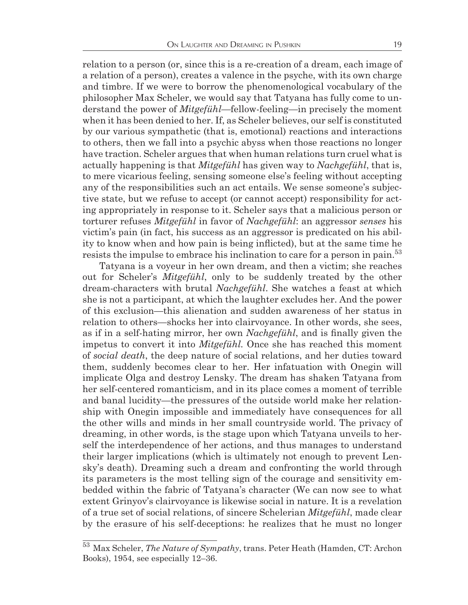relation to a person (or, since this is a re-creation of a dream, each image of a relation of a person), creates a valence in the psyche, with its own charge and timbre. If we were to borrow the phenomenological vocabulary of the philosopher Max Scheler, we would say that Tatyana has fully come to understand the power of *Mitgefühl—*fellow-feeling—in precisely the moment when it has been denied to her. If, as Scheler believes, our self is constituted by our various sympathetic (that is, emotional) reactions and interactions to others, then we fall into a psychic abyss when those reactions no longer have traction. Scheler argues that when human relations turn cruel what is actually happening is that *Mitgefühl* has given way to *Nachgefühl*, that is, to mere vicarious feeling, sensing someone else's feeling without accepting any of the responsibilities such an act entails. We sense someone's subjective state, but we refuse to accept (or cannot accept) responsibility for acting appropriately in response to it. Scheler says that a malicious person or torturer refuses *Mitgefühl* in favor of *Nachgefühl*: an aggressor *senses* his victim's pain (in fact, his success as an aggressor is predicated on his ability to know when and how pain is being inficted), but at the same time he resists the impulse to embrace his inclination to care for a person in pain.<sup>53</sup>

Tatyana is a voyeur in her own dream, and then a victim; she reaches out for Scheler's *Mitgefühl*, only to be suddenly treated by the other dream-characters with brutal *Nachgefühl*. She watches a feast at which she is not a participant, at which the laughter excludes her. And the power of this exclusion—this alienation and sudden awareness of her status in relation to others—shocks her into clairvoyance. In other words, she sees, as if in a self-hating mirror, her own *Nachgefühl*, and is fnally given the impetus to convert it into *Mitgefühl.* Once she has reached this moment of *social death*, the deep nature of social relations, and her duties toward them, suddenly becomes clear to her. Her infatuation with Onegin will implicate Olga and destroy Lensky. The dream has shaken Tatyana from her self-centered romanticism, and in its place comes a moment of terrible and banal lucidity—the pressures of the outside world make her relationship with Onegin impossible and immediately have consequences for all the other wills and minds in her small countryside world. The privacy of dreaming, in other words, is the stage upon which Tatyana unveils to herself the interdependence of her actions, and thus manages to understand their larger implications (which is ultimately not enough to prevent Lensky's death). Dreaming such a dream and confronting the world through its parameters is the most telling sign of the courage and sensitivity embedded within the fabric of Tatyana's character (We can now see to what extent Grinyov's clairvoyance is likewise social in nature. It is a revelation of a true set of social relations, of sincere Schelerian *Mitgefühl*, made clear by the erasure of his self-deceptions: he realizes that he must no longer

<sup>53</sup> Max Scheler, *The Nature of Sympathy*, trans. Peter Heath (Hamden, CT: Archon Books), 1954, see especially 12–36.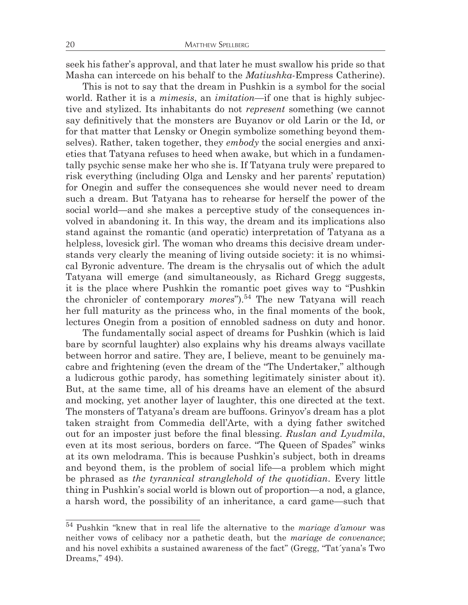seek his father's approval, and that later he must swallow his pride so that Masha can intercede on his behalf to the *Matiushka*-Empress Catherine).

This is not to say that the dream in Pushkin is a symbol for the social world. Rather it is a *mimesis*, an *imitation*—if one that is highly subjective and stylized. Its inhabitants do not *represent* something (we cannot say defnitively that the monsters are Buyanov or old Larin or the Id, or for that matter that Lensky or Onegin symbolize something beyond themselves). Rather, taken together, they *embody* the social energies and anxieties that Tatyana refuses to heed when awake, but which in a fundamentally psychic sense make her who she is. If Tatyana truly were prepared to risk everything (including Olga and Lensky and her parents' reputation) for Onegin and suffer the consequences she would never need to dream such a dream. But Tatyana has to rehearse for herself the power of the social world—and she makes a perceptive study of the consequences involved in abandoning it. In this way, the dream and its implications also stand against the romantic (and operatic) interpretation of Tatyana as a helpless, lovesick girl. The woman who dreams this decisive dream understands very clearly the meaning of living outside society: it is no whimsical Byronic adventure. The dream is the chrysalis out of which the adult Tatyana will emerge (and simultaneously, as Richard Gregg suggests, it is the place where Pushkin the romantic poet gives way to "Pushkin the chronicler of contemporary *mores*").<sup>54</sup> The new Tatyana will reach her full maturity as the princess who, in the fnal moments of the book, lectures Onegin from a position of ennobled sadness on duty and honor.

The fundamentally social aspect of dreams for Pushkin (which is laid bare by scornful laughter) also explains why his dreams always vacillate between horror and satire. They are, I believe, meant to be genuinely macabre and frightening (even the dream of the "The Undertaker," although a ludicrous gothic parody, has something legitimately sinister about it). But, at the same time, all of his dreams have an element of the absurd and mocking, yet another layer of laughter, this one directed at the text. The monsters of Tatyana's dream are buffoons. Grinyov's dream has a plot taken straight from Commedia dell'Arte, with a dying father switched out for an imposter just before the fnal blessing. *Ruslan and Lyudmila*, even at its most serious, borders on farce. "The Queen of Spades" winks at its own melodrama. This is because Pushkin's subject, both in dreams and beyond them, is the problem of social life—a problem which might be phrased as *the tyrannical stranglehold of the quotidian*. Every little thing in Pushkin's social world is blown out of proportion—a nod, a glance, a harsh word, the possibility of an inheritance, a card game—such that

<sup>54</sup> Pushkin "knew that in real life the alternative to the *mariage d'amour* was neither vows of celibacy nor a pathetic death, but the *mariage de convenance*; and his novel exhibits a sustained awareness of the fact" (Gregg, "Tat´yana's Two Dreams," 494).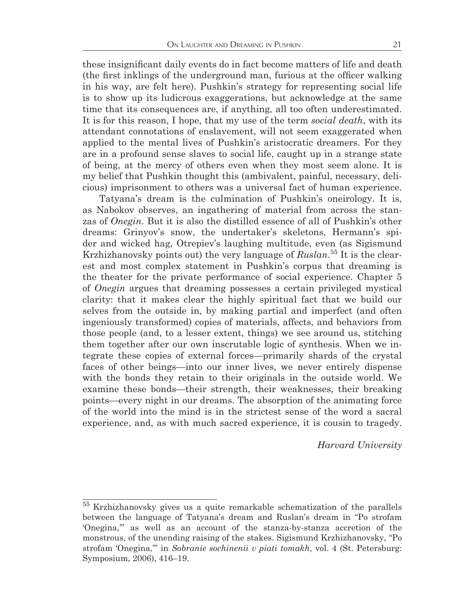these insignifcant daily events do in fact become matters of life and death (the first inklings of the underground man, furious at the officer walking in his way, are felt here). Pushkin's strategy for representing social life is to show up its ludicrous exaggerations, but acknowledge at the same time that its consequences are, if anything, all too often underestimated. It is for this reason, I hope, that my use of the term *social death*, with its attendant connotations of enslavement, will not seem exaggerated when applied to the mental lives of Pushkin's aristocratic dreamers. For they are in a profound sense slaves to social life, caught up in a strange state of being, at the mercy of others even when they most seem alone. It is my belief that Pushkin thought this (ambivalent, painful, necessary, delicious) imprisonment to others was a universal fact of human experience.

Tatyana's dream is the culmination of Pushkin's oneirology. It is, as Nabokov observes, an ingathering of material from across the stanzas of *Onegin*. But it is also the distilled essence of all of Pushkin's other dreams: Grinyov's snow, the undertaker's skeletons, Hermann's spider and wicked hag, Otrepiev's laughing multitude, even (as Sigismund Krzhizhanovsky points out) the very language of *Ruslan*. 55 It is the clearest and most complex statement in Pushkin's corpus that dreaming is the theater for the private performance of social experience. Chapter 5 of *Onegin* argues that dreaming possesses a certain privileged mystical clarity: that it makes clear the highly spiritual fact that we build our selves from the outside in, by making partial and imperfect (and often ingeniously transformed) copies of materials, affects, and behaviors from those people (and, to a lesser extent, things) we see around us, stitching them together after our own inscrutable logic of synthesis. When we integrate these copies of external forces—primarily shards of the crystal faces of other beings—into our inner lives, we never entirely dispense with the bonds they retain to their originals in the outside world. We examine these bonds—their strength, their weaknesses, their breaking points—every night in our dreams. The absorption of the animating force of the world into the mind is in the strictest sense of the word a sacral experience, and, as with much sacred experience, it is cousin to tragedy.

*Harvard University*

<sup>55</sup> Krzhizhanovsky gives us a quite remarkable schematization of the parallels between the language of Tatyana's dream and Ruslan's dream in "Po strofam 'Onegina,'" as well as an account of the stanza-by-stanza accretion of the monstrous, of the unending raising of the stakes. Sigismund Krzhizhanovsky, "Po strofam 'Onegina,'" in *Sobranie sochinenii v piati tomakh*, vol. 4 (St. Petersburg: Symposium, 2006), 416–19.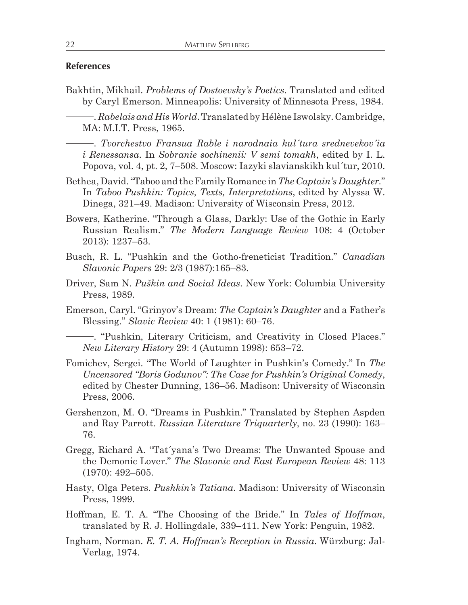#### **References**

- Bakhtin, Mikhail. *Problems of Dostoevsky's Poetics*. Translated and edited by Caryl Emerson. Minneapolis: University of Minnesota Press, 1984.
	- . *Rabelais and His World*. Translated by Hélène Iswolsky. Cambridge, MA: M.I.T. Press, 1965.
	- . *Tvorchestvo Fransua Rable i narodnaia kul´tura srednevekov´ia i Renessansa*. In *Sobranie sochinenii: V semi tomakh*, edited by I. L. Popova, vol. 4, pt. 2, 7–508. Moscow: Iazyki slavianskikh kul´tur, 2010.
- Bethea, David. "Taboo and the Family Romance in *The Captain's Daughter.*" In *Taboo Pushkin: Topics, Texts, Interpretations*, edited by Alyssa W. Dinega, 321–49. Madison: University of Wisconsin Press, 2012.
- Bowers, Katherine. "Through a Glass, Darkly: Use of the Gothic in Early Russian Realism." *The Modern Language Review* 108: 4 (October 2013): 1237–53.
- Busch, R. L. "Pushkin and the Gotho-freneticist Tradition." *Canadian Slavonic Papers* 29: 2/3 (1987):165–83.
- Driver, Sam N. *Puškin and Social Ideas*. New York: Columbia University Press, 1989.
- Emerson, Caryl. "Grinyov's Dream: *The Captain's Daughter* and a Father's Blessing." *Slavic Review* 40: 1 (1981): 60–76.

 . "Pushkin, Literary Criticism, and Creativity in Closed Places." *New Literary History* 29: 4 (Autumn 1998): 653–72.

- Fomichev, Sergei. "The World of Laughter in Pushkin's Comedy." In *The Uncensored "Boris Godunov": The Case for Pushkin's Original Comedy*, edited by Chester Dunning, 136–56. Madison: University of Wisconsin Press, 2006.
- Gershenzon, M. O. "Dreams in Pushkin." Translated by Stephen Aspden and Ray Parrott. *Russian Literature Triquarterly*, no. 23 (1990): 163– 76.
- Gregg, Richard A. "Tat´yana's Two Dreams: The Unwanted Spouse and the Demonic Lover." *The Slavonic and East European Review* 48: 113 (1970): 492–505.
- Hasty, Olga Peters. *Pushkin's Tatiana*. Madison: University of Wisconsin Press, 1999.
- Hoffman, E. T. A. "The Choosing of the Bride." In *Tales of Hoffman*, translated by R. J. Hollingdale, 339–411. New York: Penguin, 1982.
- Ingham, Norman. *E. T. A. Hoffman's Reception in Russia*. Würzburg: Jal-Verlag, 1974.